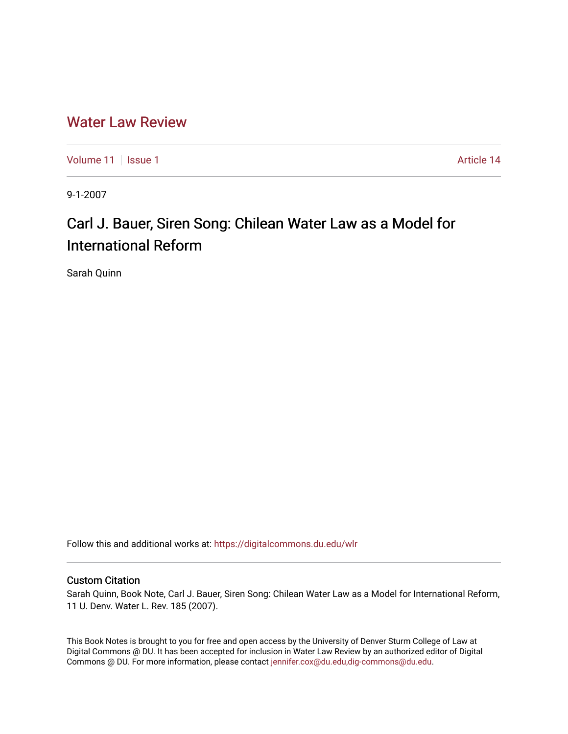# [Water Law Review](https://digitalcommons.du.edu/wlr)

[Volume 11](https://digitalcommons.du.edu/wlr/vol11) | [Issue 1](https://digitalcommons.du.edu/wlr/vol11/iss1) Article 14

9-1-2007

# Carl J. Bauer, Siren Song: Chilean Water Law as a Model for International Reform

Sarah Quinn

Follow this and additional works at: [https://digitalcommons.du.edu/wlr](https://digitalcommons.du.edu/wlr?utm_source=digitalcommons.du.edu%2Fwlr%2Fvol11%2Fiss1%2F14&utm_medium=PDF&utm_campaign=PDFCoverPages) 

## Custom Citation

Sarah Quinn, Book Note, Carl J. Bauer, Siren Song: Chilean Water Law as a Model for International Reform, 11 U. Denv. Water L. Rev. 185 (2007).

This Book Notes is brought to you for free and open access by the University of Denver Sturm College of Law at Digital Commons @ DU. It has been accepted for inclusion in Water Law Review by an authorized editor of Digital Commons @ DU. For more information, please contact [jennifer.cox@du.edu,dig-commons@du.edu.](mailto:jennifer.cox@du.edu,dig-commons@du.edu)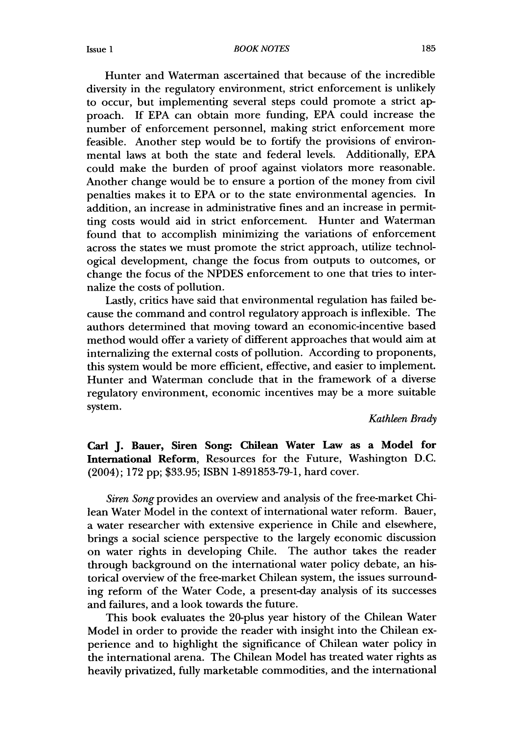#### *BOOK NOTES*

Hunter and Waterman ascertained that because of the incredible diversity in the regulatory environment, strict enforcement is unlikely to occur, but implementing several steps could promote a strict approach. If EPA can obtain more funding, EPA could increase the number of enforcement personnel, making strict enforcement more feasible. Another step would be to fortify the provisions of environmental laws at both the state and federal levels. Additionally, EPA could make the burden of proof against violators more reasonable. Another change would be to ensure a portion of the money from civil penalties makes it to EPA or to the state environmental agencies. In addition, an increase in administrative fines and an increase in permitting costs would aid in strict enforcement. Hunter and Waterman found that to accomplish minimizing the variations of enforcement across the states we must promote the strict approach, utilize technological development, change the focus from outputs to outcomes, or change the focus of the NPDES enforcement to one that tries to internalize the costs of pollution.

Lastly, critics have said that environmental regulation has failed because the command and control regulatory approach is inflexible. The authors determined that moving toward an economic-incentive based method would offer a variety of different approaches that would aim at internalizing the external costs of pollution. According to proponents, this system would be more efficient, effective, and easier to implement. Hunter and Waterman conclude that in the framework of a diverse regulatory environment, economic incentives may be a more suitable system.

*Kathleen Brady*

**Carl J. Bauer, Siren Song- Chilean Water Law as a Model for International Reform,** Resources for the Future, Washington D.C. (2004); 172 pp; \$33.95; ISBN 1-891853-79-1, hard cover.

*Siren Song* provides an overview and analysis of the free-market Chilean Water Model in the context of international water reform. Bauer, a water researcher with extensive experience in Chile and elsewhere, brings a social science perspective to the largely economic discussion on water rights in developing Chile. The author takes the reader through background on the international water policy debate, an historical overview of the free-market Chilean system, the issues surrounding reform of the Water Code, a present-day analysis of its successes and failures, and a look towards the future.

This book evaluates the 20-plus year history of the Chilean Water Model in order to provide the reader with insight into the Chilean experience and to highlight the significance of Chilean water policy in the international arena. The Chilean Model has treated water rights as heavily privatized, fully marketable commodities, and the international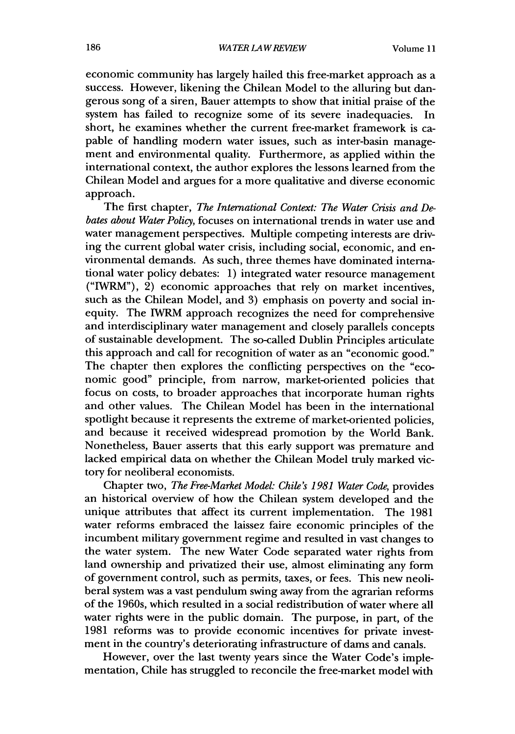economic community has largely hailed this free-market approach as a success. However, likening the Chilean Model to the alluring but dangerous song of a siren, Bauer attempts to show that initial praise of the system has failed to recognize some of its severe inadequacies. In short, he examines whether the current free-market framework is capable of handling modern water issues, such as inter-basin management and environmental quality. Furthermore, as applied within the international context, the author explores the lessons learned from the Chilean Model and argues for a more qualitative and diverse economic approach.

The first chapter, *The International Context: The Water Crisis and Debates about Water Policy,* focuses on international trends in water use and water management perspectives. Multiple competing interests are driving the current global water crisis, including social, economic, and environmental demands. As such, three themes have dominated international water policy debates: 1) integrated water resource management ("IWRM"), 2) economic approaches that rely on market incentives, such as the Chilean Model, and 3) emphasis on poverty and social inequity. The IWRM approach recognizes the need for comprehensive and interdisciplinary water management and closely parallels concepts of sustainable development. The so-called Dublin Principles articulate this approach and call for recognition of water as an "economic good." The chapter then explores the conflicting perspectives on the "economic good" principle, from narrow, market-oriented policies that focus on costs, to broader approaches that incorporate human rights and other values. The Chilean Model has been in the international spotlight because it represents the extreme of market-oriented policies, and because it received widespread promotion by the World Bank. Nonetheless, Bauer asserts that this early support was premature and lacked empirical data on whether the Chilean Model truly marked victory for neoliberal economists.

Chapter two, *The Free-Market Model: Chile's 1981 Water Code,* provides an historical overview of how the Chilean system developed and the unique attributes that affect its current implementation. The 1981 water reforms embraced the laissez faire economic principles of the incumbent military government regime and resulted in vast changes to the water system. The new Water Code separated water rights from land ownership and privatized their use, almost eliminating any form of government control, such as permits, taxes, or fees. This new neoliberal system was a vast pendulum swing away from the agrarian reforms of the 1960s, which resulted in a social redistribution of water where all water rights were in the public domain. The purpose, in part, of the 1981 reforms was to provide economic incentives for private investment in the country's deteriorating infrastructure of dams and canals.

However, over the last twenty years since the Water Code's implementation, Chile has struggled to reconcile the free-market model with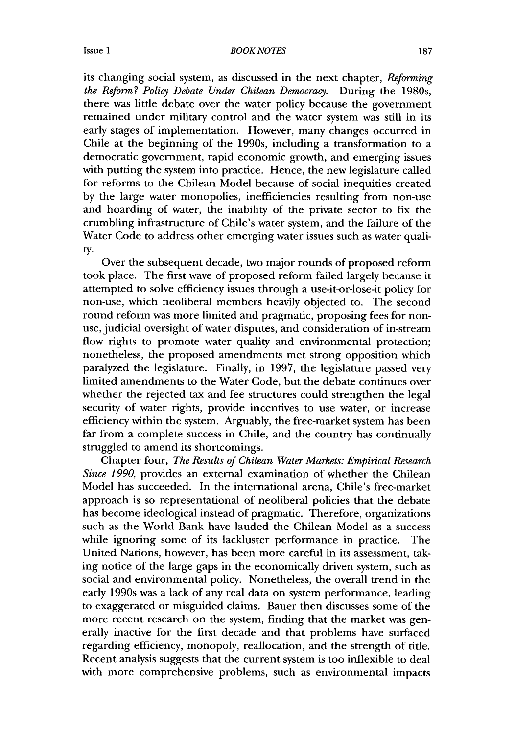### *BOOK NOTES*

its changing social system, as discussed in the next chapter, *Reforming the Reform? Policy Debate Under Chilean Democracy.* During the 1980s, there was little debate over the water policy because the government remained under military control and the water system was still in its early stages of implementation. However, many changes occurred in Chile at the beginning of the 1990s, including a transformation to a democratic government, rapid economic growth, and emerging issues with putting the system into practice. Hence, the new legislature called for reforms to the Chilean Model because of social inequities created by the large water monopolies, inefficiencies resulting from non-use and hoarding of water, the inability of the private sector to fix the crumbling infrastructure of Chile's water system, and the failure of the Water Code to address other emerging water issues such as water quality.

Over the subsequent decade, two major rounds of proposed reform took place. The first wave of proposed reform failed largely because it attempted to solve efficiency issues through a use-it-or-lose-it policy for non-use, which neoliberal members heavily objected to. The second round reform was more limited and pragmatic, proposing fees for nonuse, judicial oversight of water disputes, and consideration of in-stream flow rights to promote water quality and environmental protection; nonetheless, the proposed amendments met strong opposition which paralyzed the legislature. Finally, in 1997, the legislature passed very limited amendments to the Water Code, but the debate continues over whether the rejected tax and fee structures could strengthen the legal security of water rights, provide incentives to use water, or increase efficiency within the system. Arguably, the free-market system has been far from a complete success in Chile, and the country has continually struggled to amend its shortcomings.

Chapter four, *The Results of Chilean Water Markets: Empirical Research Since 1990,* provides an external examination of whether the Chilean Model has succeeded. In the international arena, Chile's free-market approach is so representational of neoliberal policies that the debate has become ideological instead of pragmatic. Therefore, organizations such as the World Bank have lauded the Chilean Model as a success while ignoring some of its lackluster performance in practice. The United Nations, however, has been more careful in its assessment, taking notice of the large gaps in the economically driven system, such as social and environmental policy. Nonetheless, the overall trend in the early 1990s was a lack of any real data on system performance, leading to exaggerated or misguided claims. Bauer then discusses some of the more recent research on the system, finding that the market was generally inactive for the first decade and that problems have surfaced regarding efficiency, monopoly, reallocation, and the strength of title. Recent analysis suggests that the current system is too inflexible to deal with more comprehensive problems, such as environmental impacts